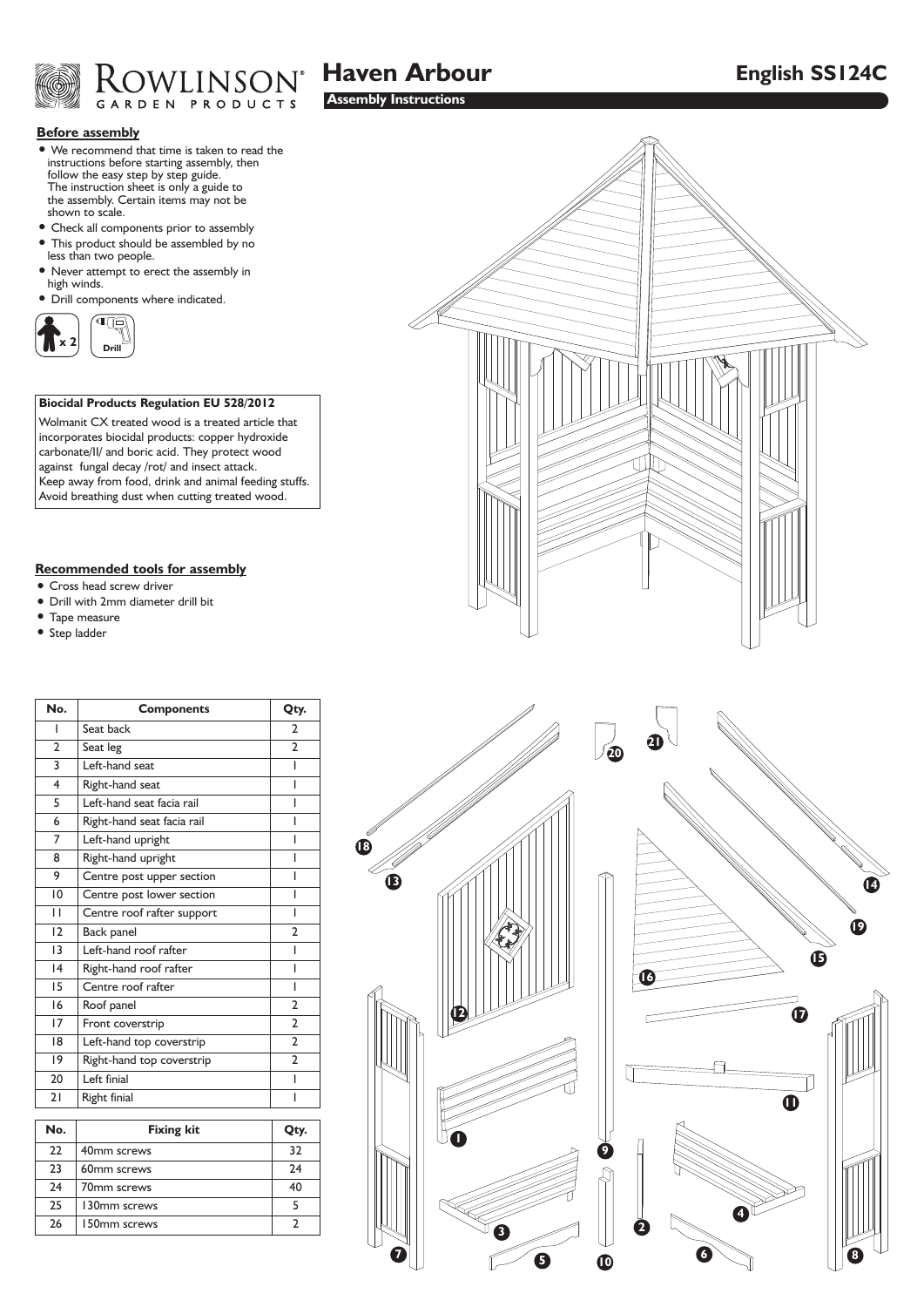

# **Haven Arbour English SS124C**

## **Before assembly**

- We recommend that time is taken to read the instructions before starting assembly, then follow the easy step by step guide. The instruction sheet is only a guide to the assembly. Certain items may not be shown to scale.
- Check all components prior to assembly • This product should be assembled by no
- less than two people.
- Never attempt to erect the assembly in high winds.
- Drill components where indicated.



## **Biocidal Products Regulation EU 528/2012**

Wolmanit CX treated wood is a treated article that incorporates biocidal products: copper hydroxide carbonate/II/ and boric acid. They protect wood against fungal decay /rot/ and insect attack. Keep away from food, drink and animal feeding stuffs. Avoid breathing dust when cutting treated wood.

#### **Recommended tools for assembly**

- Cross head screw driver
- Drill with 2mm diameter drill bit
- Tape measure
- Step ladder

| No.             | <b>Components</b>          | Qty.                     |
|-----------------|----------------------------|--------------------------|
| ı               | Seat back                  | $\overline{2}$           |
| $\overline{2}$  | Seat leg                   | $\overline{2}$           |
| 3               | eft-hand seat              | ı                        |
| 4               | Right-hand seat            | ı                        |
| 5               | Left-hand seat facia rail  | I                        |
| 6               | Right-hand seat facia rail | I                        |
| 7               | Left-hand upright          |                          |
| 8               | Right-hand upright         | ı                        |
| 9               | Centre post upper section  | ı                        |
| 10              | Centre post lower section  |                          |
| П               | Centre roof rafter support | I                        |
| $\overline{2}$  | Back panel                 | $\overline{\phantom{a}}$ |
| $\overline{13}$ | Left-hand roof rafter      | ı                        |
| 4               | Right-hand roof rafter     | ı                        |
| 15              | Centre roof rafter         | I                        |
| 16              | Roof panel                 | $\overline{2}$           |
| 17              | Front coverstrip           | $\overline{2}$           |
| 18              | Left-hand top coverstrip   | $\overline{2}$           |
| 9               | Right-hand top coverstrip  | $\overline{2}$           |
| 20              | Left finial                | ı                        |
| 21              | Right finial               |                          |
| . .             | $\cdots$                   |                          |

| No. | <b>Fixing kit</b> | Qty. |
|-----|-------------------|------|
| 22  | 40mm screws       | 32   |
| 23  | 60mm screws       | 24   |
| 24  | 70mm screws       | 40   |
| 25  | 130mm screws      |      |
| 26  | 150mm screws      |      |



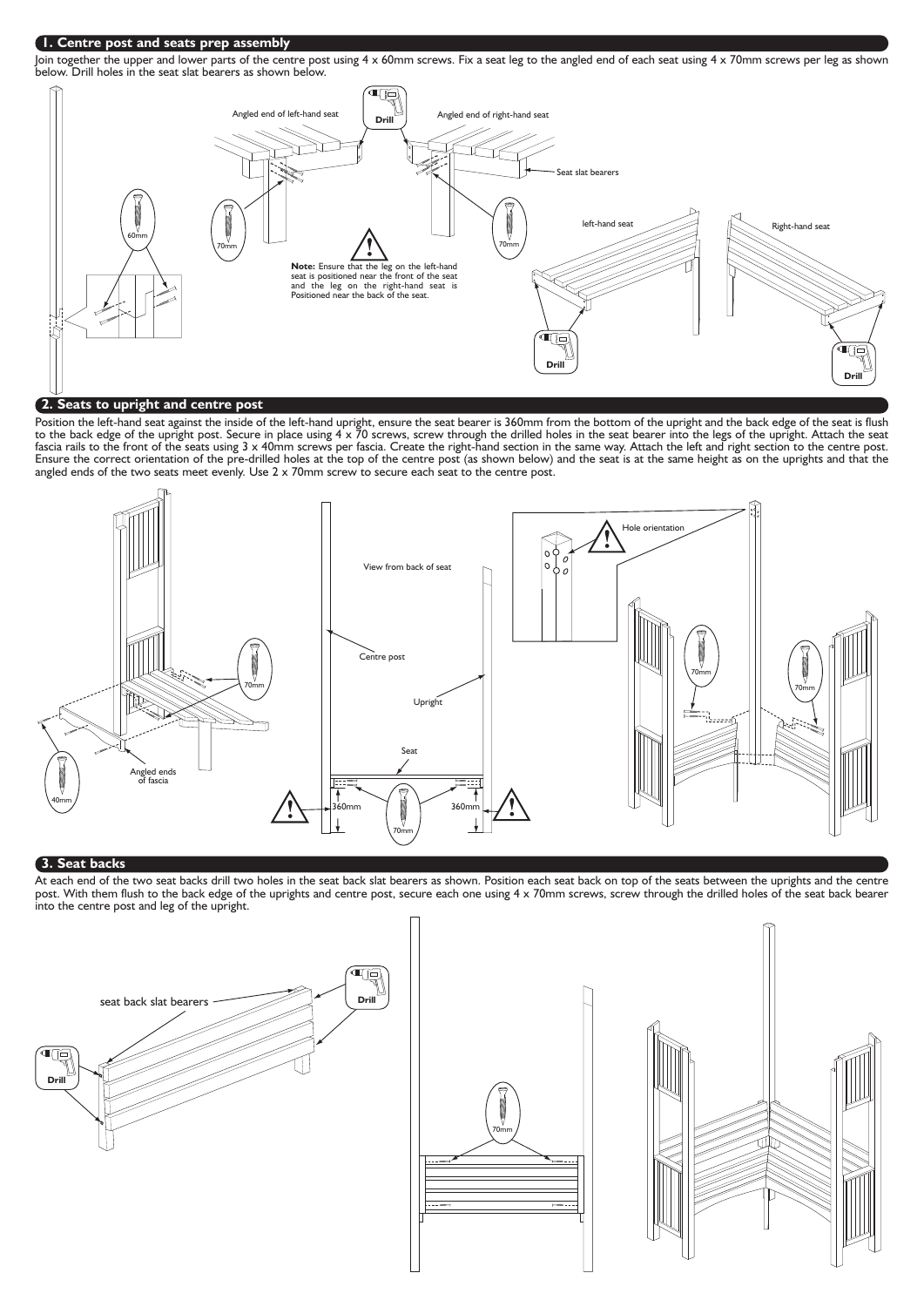## **1. Centre post and seats prep assembly**

Join together the upper and lower parts of the centre post using 4 x 60mm screws. Fix a seat leg to the angled end of each seat using 4 x 70mm screws per leg as shown below. Drill holes in the seat slat bearers as shown below.



Position the left-hand seat against the inside of the left-hand upright, ensure the seat bearer is 360mm from the bottom of the upright and the back edge of the seat is flush to the back edge of the upright post. Secure in place using 4 x 70 screws, screw through the drilled holes in the seat bearer into the legs of the upright. Attach the seat fascia rails to the front of the seats using 3 x 40mm screws per fascia. Create the right-hand section in the same way. Attach the left and right section to the centre post. Ensure the correct orientation of the pre-drilled holes at the top of the centre post (as shown below) and the seat is at the same height as on the uprights and that the angled ends of the two seats meet evenly. Use 2 x 70mm screw to secure each seat to the centre post.



#### **3. Seat backs**

At each end of the two seat backs drill two holes in the seat back slat bearers as shown. Position each seat back on top of the seats between the uprights and the centre post. With them flush to the back edge of the uprights and centre post, secure each one using 4 x 70mm screws, screw through the drilled holes of the seat back bearer into the centre post and leg of the upright.





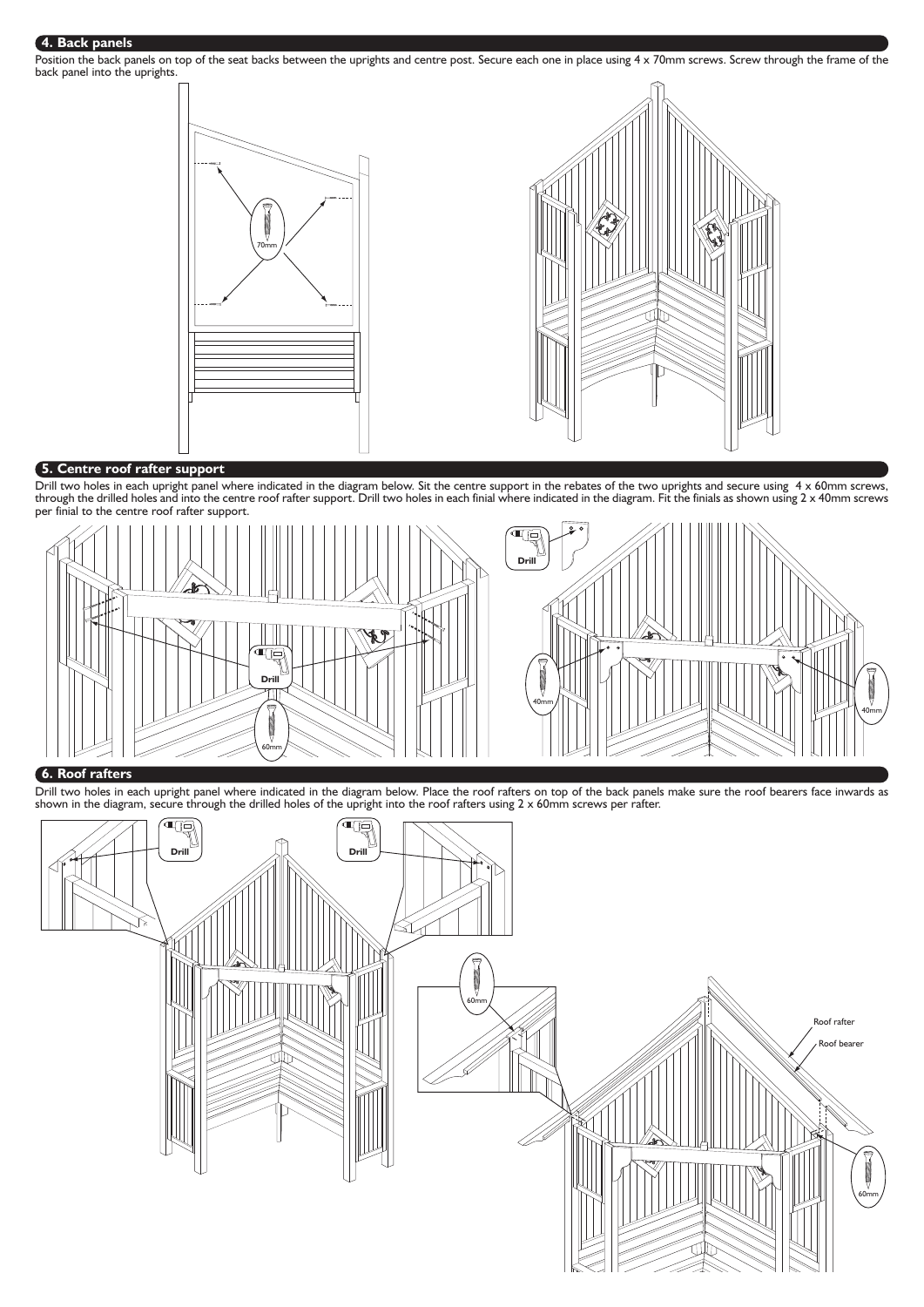### **4. Back panels**

Position the back panels on top of the seat backs between the uprights and centre post. Secure each one in place using 4 x 70mm screws. Screw through the frame of the back panel into the uprights.



## **5. Centre roof rafter support**

Drill two holes in each upright panel where indicated in the diagram below. Sit the centre support in the rebates of the two uprights and secure using 4 x 60mm screws, through the drilled holes and into the centre roof rafter support. Drill two holes in each finial where indicated in the diagram. Fit the finials as shown using 2 x 40mm screws per finial to the centre roof rafter support.



### **6. Roof rafters**

Drill two holes in each upright panel where indicated in the diagram below. Place the roof rafters on top of the back panels make sure the roof bearers face inwards as shown in the diagram, secure through the drilled holes of the upright into the roof rafters using  $2 \times 60$ mm screws per rafter.